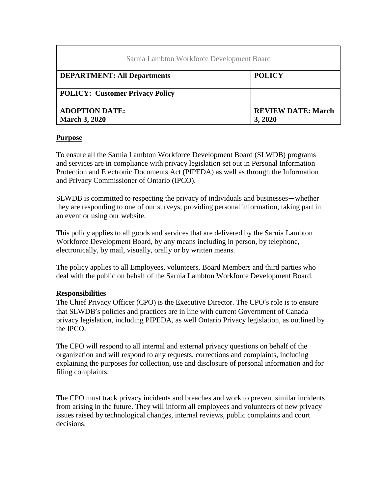| Sarnia Lambton Workforce Development Board |                           |
|--------------------------------------------|---------------------------|
| <b>DEPARTMENT: All Departments</b>         | <b>POLICY</b>             |
| <b>POLICY: Customer Privacy Policy</b>     |                           |
| <b>ADOPTION DATE:</b>                      | <b>REVIEW DATE: March</b> |
| <b>March 3, 2020</b>                       | 3,2020                    |

#### **Purpose**

To ensure all the Sarnia Lambton Workforce Development Board (SLWDB) programs and services are in compliance with privacy legislation set out in Personal Information Protection and Electronic Documents Act (PIPEDA) as well as through the Information and Privacy Commissioner of Ontario (IPCO).

SLWDB is committed to respecting the privacy of individuals and businesses—whether they are responding to one of our surveys, providing personal information, taking part in an event or using our website.

This policy applies to all goods and services that are delivered by the Sarnia Lambton Workforce Development Board, by any means including in person, by telephone, electronically, by mail, visually, orally or by written means.

The policy applies to all Employees, volunteers, Board Members and third parties who deal with the public on behalf of the Sarnia Lambton Workforce Development Board.

#### **Responsibilities**

The Chief Privacy Officer (CPO) is the Executive Director. The CPO's role is to ensure that SLWDB's policies and practices are in line with current Government of Canada privacy legislation, including PIPEDA, as well Ontario Privacy legislation, as outlined by the IPCO.

The CPO will respond to all internal and external privacy questions on behalf of the organization and will respond to any requests, corrections and complaints, including explaining the purposes for collection, use and disclosure of personal information and for filing complaints.

The CPO must track privacy incidents and breaches and work to prevent similar incidents from arising in the future. They will inform all employees and volunteers of new privacy issues raised by technological changes, internal reviews, public complaints and court decisions.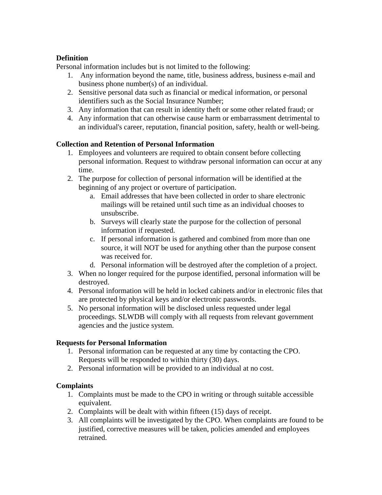# **Definition**

Personal information includes but is not limited to the following:

- 1. Any information beyond the name, title, business address, business e-mail and business phone number(s) of an individual.
- 2. Sensitive personal data such as financial or medical information, or personal identifiers such as the Social Insurance Number;
- 3. Any information that can result in identity theft or some other related fraud; or
- 4. Any information that can otherwise cause harm or embarrassment detrimental to an individual's career, reputation, financial position, safety, health or well-being.

## **Collection and Retention of Personal Information**

- 1. Employees and volunteers are required to obtain consent before collecting personal information. Request to withdraw personal information can occur at any time.
- 2. The purpose for collection of personal information will be identified at the beginning of any project or overture of participation.
	- a. Email addresses that have been collected in order to share electronic mailings will be retained until such time as an individual chooses to unsubscribe.
	- b. Surveys will clearly state the purpose for the collection of personal information if requested.
	- c. If personal information is gathered and combined from more than one source, it will NOT be used for anything other than the purpose consent was received for.
	- d. Personal information will be destroyed after the completion of a project.
- 3. When no longer required for the purpose identified, personal information will be destroyed.
- 4. Personal information will be held in locked cabinets and/or in electronic files that are protected by physical keys and/or electronic passwords.
- 5. No personal information will be disclosed unless requested under legal proceedings. SLWDB will comply with all requests from relevant government agencies and the justice system.

## **Requests for Personal Information**

- 1. Personal information can be requested at any time by contacting the CPO. Requests will be responded to within thirty (30) days.
- 2. Personal information will be provided to an individual at no cost.

## **Complaints**

- 1. Complaints must be made to the CPO in writing or through suitable accessible equivalent.
- 2. Complaints will be dealt with within fifteen (15) days of receipt.
- 3. All complaints will be investigated by the CPO. When complaints are found to be justified, corrective measures will be taken, policies amended and employees retrained.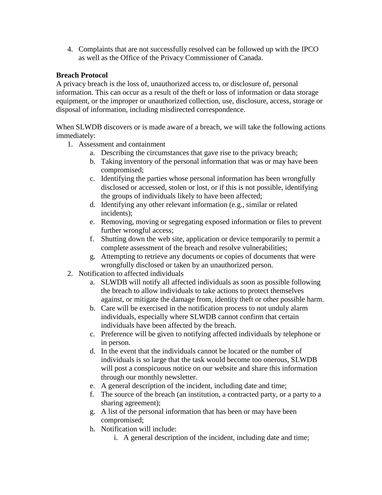4. Complaints that are not successfully resolved can be followed up with the IPCO as well as the Office of the Privacy Commissioner of Canada.

# **Breach Protocol**

A privacy breach is the loss of, unauthorized access to, or disclosure of, personal information. This can occur as a result of the theft or loss of information or data storage equipment, or the improper or unauthorized collection, use, disclosure, access, storage or disposal of information, including misdirected correspondence.

When SLWDB discovers or is made aware of a breach, we will take the following actions immediately:

- 1. Assessment and containment
	- a. Describing the circumstances that gave rise to the privacy breach;
	- b. Taking inventory of the personal information that was or may have been compromised;
	- c. Identifying the parties whose personal information has been wrongfully disclosed or accessed, stolen or lost, or if this is not possible, identifying the groups of individuals likely to have been affected;
	- d. Identifying any other relevant information (e.g., similar or related incidents);
	- e. Removing, moving or segregating exposed information or files to prevent further wrongful access;
	- f. Shutting down the web site, application or device temporarily to permit a complete assessment of the breach and resolve vulnerabilities;
	- g. Attempting to retrieve any documents or copies of documents that were wrongfully disclosed or taken by an unauthorized person.
- 2. Notification to affected individuals
	- a. SLWDB will notify all affected individuals as soon as possible following the breach to allow individuals to take actions to protect themselves against, or mitigate the damage from, identity theft or other possible harm.
	- b. Care will be exercised in the notification process to not unduly alarm individuals, especially where SLWDB cannot confirm that certain individuals have been affected by the breach.
	- c. Preference will be given to notifying affected individuals by telephone or in person.
	- d. In the event that the individuals cannot be located or the number of individuals is so large that the task would become too onerous, SLWDB will post a conspicuous notice on our website and share this information through our monthly newsletter.
	- e. A general description of the incident, including date and time;
	- f. The source of the breach (an institution, a contracted party, or a party to a sharing agreement);
	- g. A list of the personal information that has been or may have been compromised;
	- h. Notification will include:
		- i. A general description of the incident, including date and time;